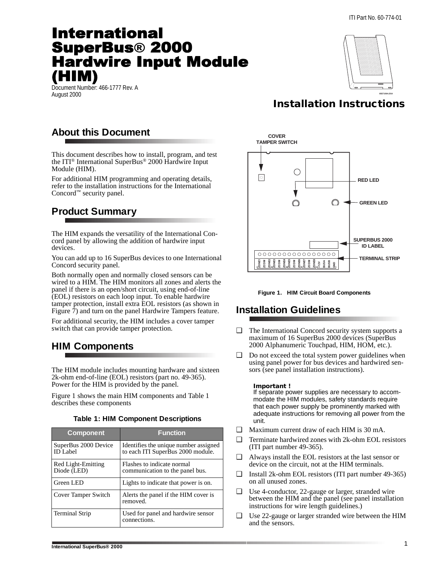# **International SuperBus® 2000 Hardwire Input Module** HIM)

Document Number: 466-1777 Rev. A<br>August 2000 August 2000 **8557109A.DS4**



## **Installation Instructions**

## **About this Document**

This document describes how to install, program, and test the ITI® International SuperBus® 2000 Hardwire Input Module (HIM).

For additional HIM programming and operating details, refer to the installation instructions for the International Concord™ security panel.

## **Product Summary**

The HIM expands the versatility of the International Concord panel by allowing the addition of hardwire input devices.

You can add up to 16 SuperBus devices to one International Concord security panel.

Both normally open and normally closed sensors can be wired to a HIM. The HIM monitors all zones and alerts the panel if there is an open/short circuit, using end-of-line (EOL) resistors on each loop input. To enable hardwire tamper protection, install extra EOL resistors (as shown in [Figure 7\)](#page-3-0) and turn on the panel Hardwire Tampers feature.

For additional security, the HIM includes a cover tamper switch that can provide tamper protection.

## **HIM Components**

The HIM module includes mounting hardware and sixteen 2k-ohm end-of-line (EOL) resistors (part no. 49-365). Power for the HIM is provided by the panel.

Figure 1 shows the main HIM components and Table 1 describes these components

| <b>Table 1: HIM Component Descriptions</b> |  |  |
|--------------------------------------------|--|--|
|--------------------------------------------|--|--|

| <b>Component</b>                        | <b>Function</b>                                                            |
|-----------------------------------------|----------------------------------------------------------------------------|
| SuperBus 2000 Device<br><b>ID</b> Label | Identifies the unique number assigned<br>to each ITI SuperBus 2000 module. |
| Red Light-Emitting<br>Diode (LED)       | Flashes to indicate normal<br>communication to the panel bus.              |
| Green LED                               | Lights to indicate that power is on.                                       |
| Cover Tamper Switch                     | Alerts the panel if the HIM cover is<br>removed.                           |
| <b>Terminal Strip</b>                   | Used for panel and hardwire sensor<br>connections.                         |



**Figure 1. HIM Circuit Board Components**

## **Installation Guidelines**

- ❑ The International Concord security system supports a maximum of 16 SuperBus 2000 devices (SuperBus 2000 Alphanumeric Touchpad, HIM, HOM, etc.).
- ❑ Do not exceed the total system power guidelines when using panel power for bus devices and hardwired sensors (see panel installation instructions).

### **Important !**

If separate power supplies are necessary to accommodate the HIM modules, safety standards require that each power supply be prominently marked with adequate instructions for removing all power from the unit.

- ❑ Maximum current draw of each HIM is 30 mA.
- ❑ Terminate hardwired zones with 2k-ohm EOL resistors (ITI part number 49-365).
- ❑ Always install the EOL resistors at the last sensor or device on the circuit, not at the HIM terminals.
- ❑ Install 2k-ohm EOL resistors (ITI part number 49-365) on all unused zones.
- ❑ Use 4-conductor, 22-gauge or larger, stranded wire between the HIM and the panel (see panel installation instructions for wire length guidelines.)
- ❑ Use 22-gauge or larger stranded wire between the HIM and the sensors.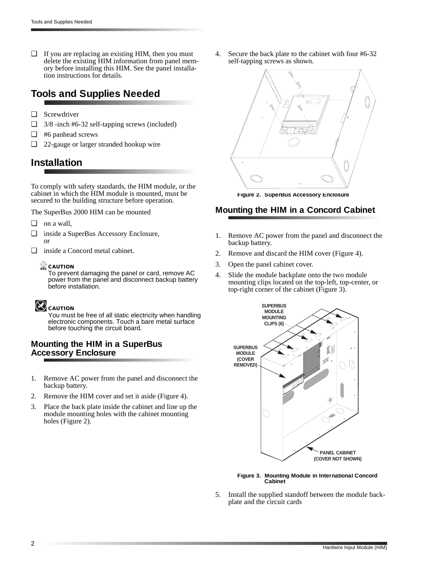❑ If you are replacing an existing HIM, then you must delete the existing HIM information from panel memory before installing this HIM. See the panel installation instructions for details.

### **Tools and Supplies Needed**

- ❑ Screwdriver
- ❑ 3/8 -inch #6-32 self-tapping screws (included)
- ❑ #6 panhead screws
- ❑ 22-gauge or larger stranded hookup wire

### **Installation**

To comply with safety standards, the HIM module, or the cabinet in which the HIM module is mounted, must be secured to the building structure before operation.

The SuperBus 2000 HIM can be mounted

- ❑ on a wall,
- ❑ inside a SuperBus Accessory Enclosure, or
- ❑ inside a Concord metal cabinet.

### **CAUTION**

To prevent damaging the panel or card, remove AC power from the panel and disconnect backup battery before installation.

## **CAUTION**

You must be free of all static electricity when handling electronic components. Touch a bare metal surface before touching the circuit board.

### **Mounting the HIM in a SuperBus Accessory Enclosure**

- 1. Remove AC power from the panel and disconnect the backup battery.
- 2. Remove the HIM cover and set it aside [\(Figure 4](#page-2-0)).
- 3. Place the back plate inside the cabinet and line up the module mounting holes with the cabinet mounting holes (Figure 2).

4. Secure the back plate to the cabinet with four #6-32 self-tapping screws as shown.



**Figure 2. SuperBus Accessory Enclosure**

### **Mounting the HIM in a Concord Cabinet**

- 1. Remove AC power from the panel and disconnect the backup battery.
- 2. Remove and discard the HIM cover [\(Figure 4\)](#page-2-0).
- 3. Open the panel cabinet cover.
- 4. Slide the module backplate onto the two module mounting clips located on the top-left, top-center, or top-right corner of the cabinet (Figure 3).



**Figure 3. Mounting Module in International Concord Cabinet**

5. Install the supplied standoff between the module backplate and the circuit cards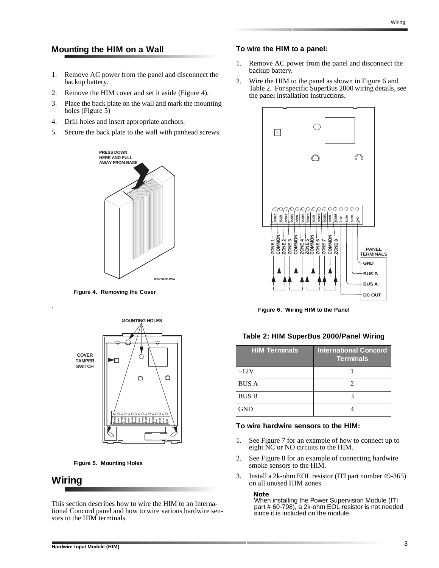### <span id="page-2-0"></span>**Mounting the HIM on a Wall**

- 1. Remove AC power from the panel and disconnect the backup battery.
- 2. Remove the HIM cover and set it aside (Figure 4).
- 3. Place the back plate on the wall and mark the mounting holes (Figure 5)
- 4. Drill holes and insert appropriate anchors.
- 5. Secure the back plate to the wall with panhead screws.



**Figure 4. Removing the Cover**



**Figure 5. Mounting Holes**

### **Wiring**

.

This section describes how to wire the HIM to an International Concord panel and how to wire various hardwire sensors to the HIM terminals.

#### **To wire the HIM to a panel:**

- 1. Remove AC power from the panel and disconnect the backup battery.
- 2. Wire the HIM to the panel as shown in Figure 6 and Table 2. For specific SuperBus 2000 wiring details, see the panel installation instructions.



**Figure 6. Wiring HIM to the Panel**

| Table 2: HIM SuperBus 2000/Panel Wiring |  |  |  |
|-----------------------------------------|--|--|--|
|-----------------------------------------|--|--|--|

| NONDRESS<br>SOME HANGE HANGE HANGE<br>SOME HANGE HANGE HANGE HANGE<br>SOME HANGE HANGE HANGE HANGE HANGE HANGE HANGE HANGE HANGE HANGE HANGE HANGE HANGE HANGE HANGE HANGE HANGE HA<br>SOME HANGE HANGE HANGE HANGE HANGE HANGE HANGE HANG<br>Figure 6. Wiring HIM to the Panel<br>Table 2: HIM SuperBus 2000/Panel Wiring | <b>PANEL</b><br><b>TERMINALS</b><br><b>GND</b><br><b>BUS B</b><br><b>BUS A</b><br>DC OUT |
|----------------------------------------------------------------------------------------------------------------------------------------------------------------------------------------------------------------------------------------------------------------------------------------------------------------------------|------------------------------------------------------------------------------------------|
|                                                                                                                                                                                                                                                                                                                            |                                                                                          |
| <b>HIM Terminals</b>                                                                                                                                                                                                                                                                                                       | <b>International Concord</b><br><b>Terminals</b>                                         |
| $+12V$                                                                                                                                                                                                                                                                                                                     | 1                                                                                        |
| <b>BUS A</b>                                                                                                                                                                                                                                                                                                               | $\overline{c}$                                                                           |
| <b>BUS B</b>                                                                                                                                                                                                                                                                                                               | 3                                                                                        |

#### **To wire hardwire sensors to the HIM:**

- 1. See [Figure 7](#page-3-0) for an example of how to connect up to eight NC or NO circuits to the HIM.
- 2. See [Figure 8](#page-3-0) for an example of connecting hardwire smoke sensors to the HIM.
- 3. Install a 2k-ohm EOL resistor (ITI part number 49-365) on all unused HIM zones

#### **Note**

When installing the Power Supervision Module (ITI part # 60-798), a 2k-ohm EOL resistor is not needed since it is included on the module.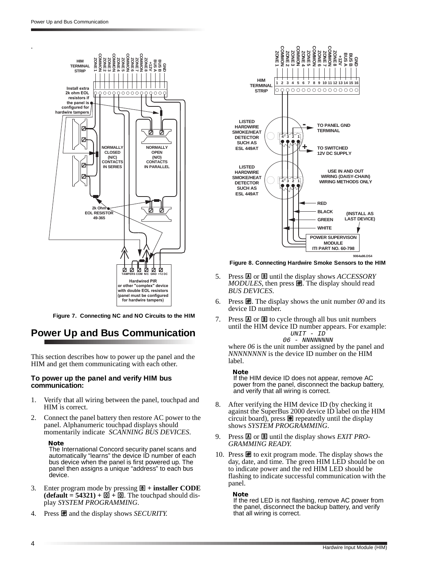<span id="page-3-0"></span>.



**Figure 7. Connecting NC and NO Circuits to the HIM**

### **Power Up and Bus Communication**

This section describes how to power up the panel and the HIM and get them communicating with each other.

#### **To power up the panel and verify HIM bus communication:**

- 1. Verify that all wiring between the panel, touchpad and HIM is correct.
- 2. Connect the panel battery then restore AC power to the panel. Alphanumeric touchpad displays should momentarily indicate *SCANNING BUS DEVICES*.

#### **Note**

The International Concord security panel scans and automatically "learns" the device ID number of each bus device when the panel is first powered up. The panel then assigns a unique "address" to each bus device.

- 3. Enter program mode by pressing  $\overline{B}$  + **installer CODE**  $\overline{1}$  (**default** = **54321**) +  $\overline{0}$  +  $\overline{0}$ . The touchpad should display *SYSTEM PROGRAMMING*.
- 4. Press  $\blacksquare$  and the display shows *SECURITY*.



**Figure 8. Connecting Hardwire Smoke Sensors to the HIM**

- 5. Press **A** or **B** until the display shows *ACCESSORY MODULES*, then press **圉**. The display should read *BUS DEVICES*.
- 6. Press  $\mathbf{H}$ . The display shows the unit number 00 and its device ID number.
- 7. Press  $\overline{A}$  or  $\overline{B}$  to cycle through all bus unit numbers until the HIM device ID number appears. For example: UNIT - ID 06 - NNNNNNNN

where  $06$  is the unit number assigned by the panel and *NNNNNNNN* is the device ID number on the HIM label.

#### **Note**

If the HIM device ID does not appear, remove AC power from the panel, disconnect the backup battery, and verify that all wiring is correct.

- 8. After verifying the HIM device ID (by checking it against the SuperBus 2000 device ID label on the HIM circuit board), press  $\blacksquare$  repeatedly until the display shows *SYSTEM PROGRAMMING*.
- 9. Press A or B until the display shows *EXIT PRO-GRAMMING READY*.
- 10. Press  $\mathbf{\mathcal{F}}$  to exit program mode. The display shows the day, date, and time*.* The green HIM LED should be on to indicate power and the red HIM LED should be flashing to indicate successful communication with the panel.

#### **Note**

If the red LED is not flashing, remove AC power from the panel, disconnect the backup battery, and verify that all wiring is correct.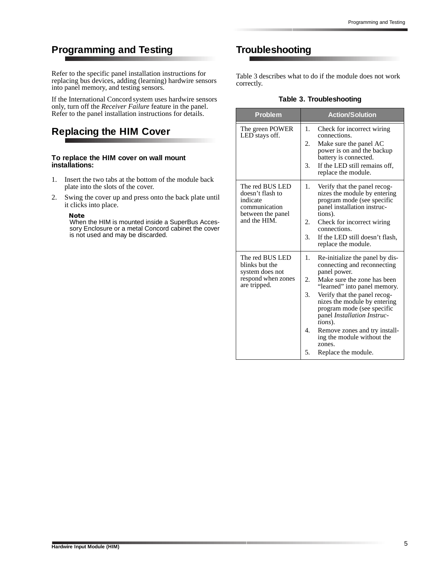## **Programming and Testing**

Refer to the specific panel installation instructions for replacing bus devices, adding (learning) hardwire sensors into panel memory, and testing sensors.

If the International Concord system uses hardwire sensors only, turn off the *Receiver Failure* feature in the panel. Refer to the panel installation instructions for details.

### **Replacing the HIM Cover**

#### **To replace the HIM cover on wall mount installations:**

- 1. Insert the two tabs at the bottom of the module back plate into the slots of the cover.
- 2. Swing the cover up and press onto the back plate until it clicks into place.

**Note**

When the HIM is mounted inside a SuperBus Accessory Enclosure or a metal Concord cabinet the cover is not used and may be discarded.

### **Troubleshooting**

Table 3 describes what to do if the module does not work correctly.

### **Table 3. Troubleshooting**

| <b>Problem</b>                                                                                        | <b>Action/Solution</b>                                                                                                                                                                                                                                                                                                                                                                                                     |
|-------------------------------------------------------------------------------------------------------|----------------------------------------------------------------------------------------------------------------------------------------------------------------------------------------------------------------------------------------------------------------------------------------------------------------------------------------------------------------------------------------------------------------------------|
| The green POWER<br>LED stays off.                                                                     | 1.<br>Check for incorrect wiring<br>connections.<br>2.<br>Make sure the panel AC<br>power is on and the backup<br>battery is connected.<br>3.<br>If the LED still remains off,<br>replace the module.                                                                                                                                                                                                                      |
| The red BUS LED<br>doesn't flash to<br>indicate<br>communication<br>between the panel<br>and the HIM. | 1.<br>Verify that the panel recog-<br>nizes the module by entering<br>program mode (see specific<br>panel installation instruc-<br>tions).<br>2.<br>Check for incorrect wiring<br>connections.<br>3.<br>If the LED still doesn't flash,<br>replace the module.                                                                                                                                                             |
| The red BUS LED<br>blinks but the<br>system does not<br>respond when zones<br>are tripped.            | 1.<br>Re-initialize the panel by dis-<br>connecting and reconnecting<br>panel power.<br>2.<br>Make sure the zone has been<br>"learned" into panel memory.<br>3.<br>Verify that the panel recog-<br>nizes the module by entering<br>program mode (see specific<br>panel <i>Installation Instruc-</i><br>tions).<br>4.<br>Remove zones and try install-<br>ing the module without the<br>zones.<br>5.<br>Replace the module. |